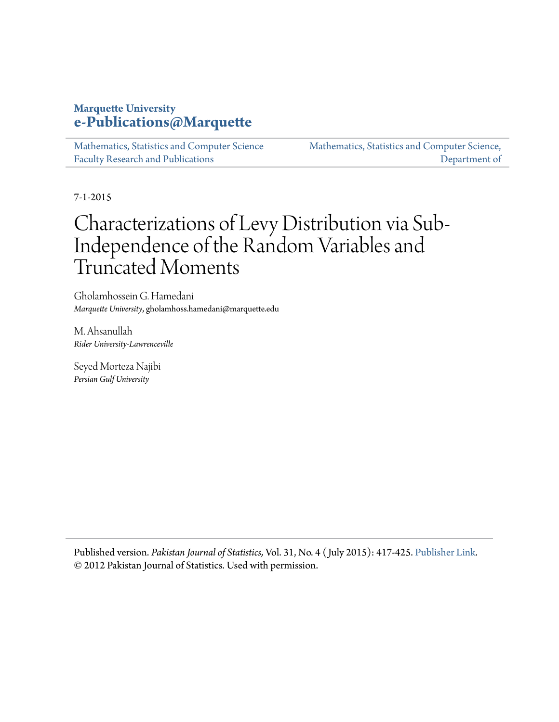# **Marquette University [e-Publications@Marquette](https://epublications.marquette.edu)**

[Mathematics, Statistics and Computer Science](https://epublications.marquette.edu/mscs_fac) [Faculty Research and Publications](https://epublications.marquette.edu/mscs_fac)

[Mathematics, Statistics and Computer Science,](https://epublications.marquette.edu/mscs) [Department of](https://epublications.marquette.edu/mscs)

7-1-2015

# Characterizations of Levy Distribution via Sub-Independence of the Random Variables and Truncated Moments

Gholamhossein G. Hamedani *Marquette University*, gholamhoss.hamedani@marquette.edu

M. Ahsanullah *Rider University-Lawrenceville*

Seyed Morteza Najibi *Persian Gulf University*

Published version. *Pakistan Journal of Statistics,* Vol. 31, No. 4 ( July 2015): 417-425. [Publisher Link.](http://www.pakjs.com/) © 2012 Pakistan Journal of Statistics. Used with permission.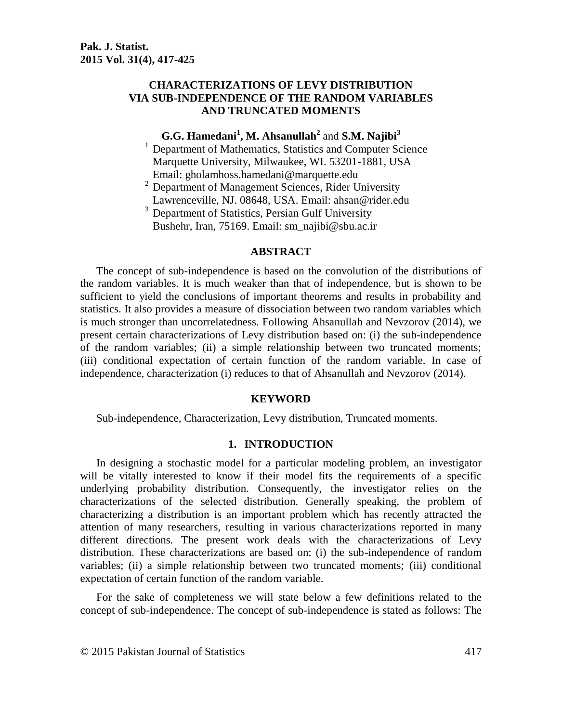# **CHARACTERIZATIONS OF LEVY DISTRIBUTION VIA SUB-INDEPENDENCE OF THE RANDOM VARIABLES AND TRUNCATED MOMENTS**

# **G.G. Hamedani<sup>1</sup> , M. Ahsanullah<sup>2</sup>** and **S.M. Najibi<sup>3</sup>**

<sup>1</sup> Department of Mathematics, Statistics and Computer Science Marquette University, Milwaukee, WI. 53201-1881, USA Email: gholamhoss.hamedani@marquette.edu

 $2$  Department of Management Sciences, Rider University Lawrenceville, NJ. 08648, USA. Email: [ahsan@rider.edu](mailto:ahsan@rider.edu)

<sup>3</sup> Department of Statistics, Persian Gulf University Bushehr, Iran, 75169. Email: sm\_najibi@sbu.ac.ir

#### **ABSTRACT**

The concept of sub-independence is based on the convolution of the distributions of the random variables. It is much weaker than that of independence, but is shown to be sufficient to yield the conclusions of important theorems and results in probability and statistics. It also provides a measure of dissociation between two random variables which is much stronger than uncorrelatedness. Following Ahsanullah and Nevzorov (2014), we present certain characterizations of Levy distribution based on: (i) the sub-independence of the random variables; (ii) a simple relationship between two truncated moments; (iii) conditional expectation of certain function of the random variable. In case of independence, characterization (i) reduces to that of Ahsanullah and Nevzorov (2014).

#### **KEYWORD**

Sub-independence, Characterization, Levy distribution, Truncated moments.

#### **1. INTRODUCTION**

In designing a stochastic model for a particular modeling problem, an investigator will be vitally interested to know if their model fits the requirements of a specific underlying probability distribution. Consequently, the investigator relies on the characterizations of the selected distribution. Generally speaking, the problem of characterizing a distribution is an important problem which has recently attracted the attention of many researchers, resulting in various characterizations reported in many different directions. The present work deals with the characterizations of Levy distribution. These characterizations are based on: (i) the sub-independence of random variables; (ii) a simple relationship between two truncated moments; (iii) conditional expectation of certain function of the random variable.

For the sake of completeness we will state below a few definitions related to the concept of sub-independence. The concept of sub-independence is stated as follows: The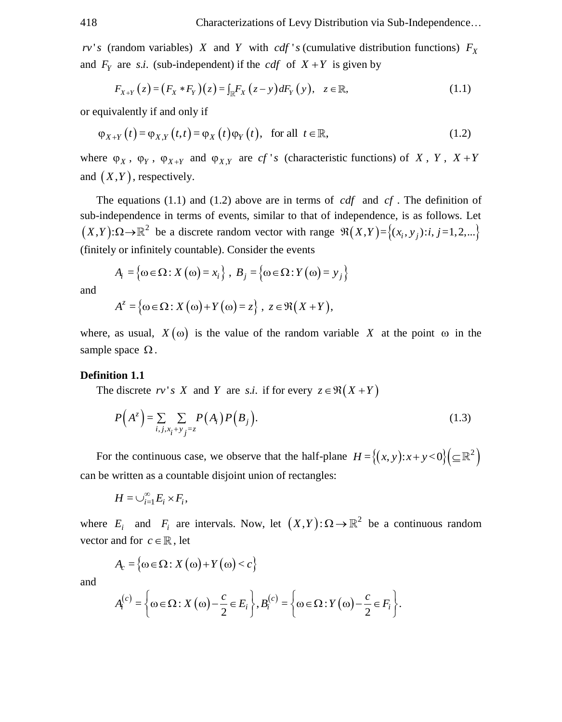*rv*'s (random variables) *X* and *Y* with *cdf* 's (cumulative distribution functions)  $F_X$ 

and 
$$
F_Y
$$
 are *s.i.* (sub-independent) if the *cdf* of  $X + Y$  is given by  
\n
$$
F_{X+Y}(z) = (F_X * F_Y)(z) = \int_{\mathbb{R}} F_X(z - y) dF_Y(y), \quad z \in \mathbb{R},
$$
\n(1.1)

or equivalently if and only if

quivalently if and only if  
\n
$$
\varphi_{X+Y}(t) = \varphi_{X,Y}(t,t) = \varphi_X(t)\varphi_Y(t), \text{ for all } t \in \mathbb{R},
$$
\n(1.2)

where  $\varphi_X$ ,  $\varphi_Y$ ,  $\varphi_{X+Y}$  and  $\varphi_{X,Y}$  are *cf* '*s* (characteristic functions) of *X*, *Y*, *X* + *Y* and  $(X, Y)$ , respectively.

The equations  $(1.1)$  and  $(1.2)$  above are in terms of *cdf* and *cf*. The definition of sub-independence in terms of events, similar to that of independence, is as follows. Let  $(X,Y): \Omega \to \mathbb{R}^2$  be a discrete random vector with range  $\Re(X,Y) = \{(x_i, y_j): i, j = 1, 2, ...\}$ (finitely or infinitely countable). Consider the events

$$
A_i = \left\{\omega \in \Omega : X(\omega) = x_i\right\}, B_j = \left\{\omega \in \Omega : Y(\omega) = y_j\right\}
$$

and

$$
A^{z} = \{ \omega \in \Omega : X(\omega) + Y(\omega) = z \}, \ z \in \mathfrak{R}(X+Y),
$$

where, as usual,  $X(\omega)$  is the value of the random variable X at the point  $\omega$  in the sample space  $\Omega$ .

#### **Definition 1.1**

The discrete  $rv's \ X$  and Y are *s.i.* if for every  $z \in \Re(X + Y)$ 

$$
P(A^z) = \sum_{i,j,x_i+y_j=z} P(A_i)P(B_j).
$$
 (1.3)

For the continuous case, we observe that the half-plane  $H = \{(x, y): x + y < 0\} (\subseteq \mathbb{R}^2)$ can be written as a countable disjoint union of rectangles:

$$
H=\cup_{i=1}^{\infty}E_i\times F_i,
$$

where  $E_i$  and  $F_i$  are intervals. Now, let  $(X,Y): \Omega \to \mathbb{R}^2$  be a continuous random vector and for  $c \in \mathbb{R}$ , let

 $A_c = \{\omega \in \Omega : X(\omega) + Y(\omega) < c\}$ 

and

$$
A_i^{(c)} = \left\{\omega \in \Omega: X(\omega) - \frac{c}{2} \in E_i\right\}, B_i^{(c)} = \left\{\omega \in \Omega: Y(\omega) - \frac{c}{2} \in F_i\right\}.
$$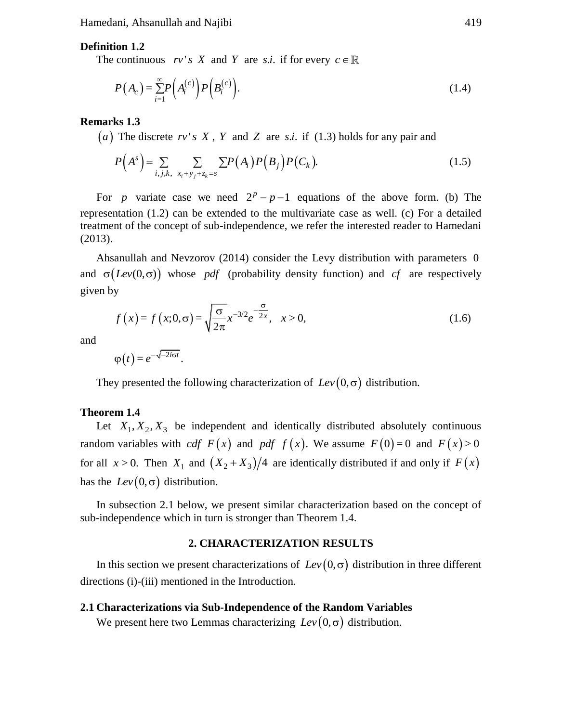Hamedani, Ahsanullah and Najibi 419

#### **Definition 1.2**

The continuous  $rv's \ X$  and Y are *s.i.* if for every  $c \in$ 

$$
P(A_c) = \sum_{i=1}^{\infty} P\left(A_i^{(c)}\right) P\left(B_i^{(c)}\right). \tag{1.4}
$$

#### **Remarks 1.3**

(*a*) The discrete  $rv$ 's  $X$ ,  $Y$  and  $Z$  are s.*i*. if (1.3) holds for any pair and

$$
P(As) = \sum_{i,j,k, x_i + y_j + z_k = s} \sum P(A_i) P(B_j) P(C_k).
$$
 (1.5)

For *p* variate case we need  $2^p - p - 1$  equations of the above form. (b) The representation (1.2) can be extended to the multivariate case as well. (c) For a detailed treatment of the concept of sub-independence, we refer the interested reader to Hamedani (2013).

Ahsanullah and Nevzorov (2014) consider the Levy distribution with parameters 0 and  $\sigma(Lev(0,\sigma))$  whose *pdf* (probability density function) and *cf* are respectively given by

$$
f(x) = f(x; 0, \sigma) = \sqrt{\frac{\sigma}{2\pi}} x^{-3/2} e^{-\frac{\sigma}{2x}}, \quad x > 0,
$$
\n(1.6)

and

 $\varphi(t) = e^{-\sqrt{-2i\sigma t}}$ .

They presented the following characterization of  $Lev(0,\sigma)$  distribution.

#### **Theorem 1.4**

Let  $X_1, X_2, X_3$  be independent and identically distributed absolutely continuous random variables with *cdf*  $F(x)$  and *pdf*  $f(x)$ . We assume  $F(0)=0$  and  $F(x)>0$ for all  $x > 0$ . Then  $X_1$  and  $(X_2 + X_3)/4$  are identically distributed if and only if  $F(x)$ has the  $Lev(0,\sigma)$  distribution.

In subsection 2.1 below, we present similar characterization based on the concept of sub-independence which in turn is stronger than Theorem 1.4.

#### **2. CHARACTERIZATION RESULTS**

In this section we present characterizations of  $Lev(0, \sigma)$  distribution in three different directions (i)-(iii) mentioned in the Introduction.

#### **2.1 Characterizations via Sub-Independence of the Random Variables**

We present here two Lemmas characterizing  $Lev(0,\sigma)$  distribution.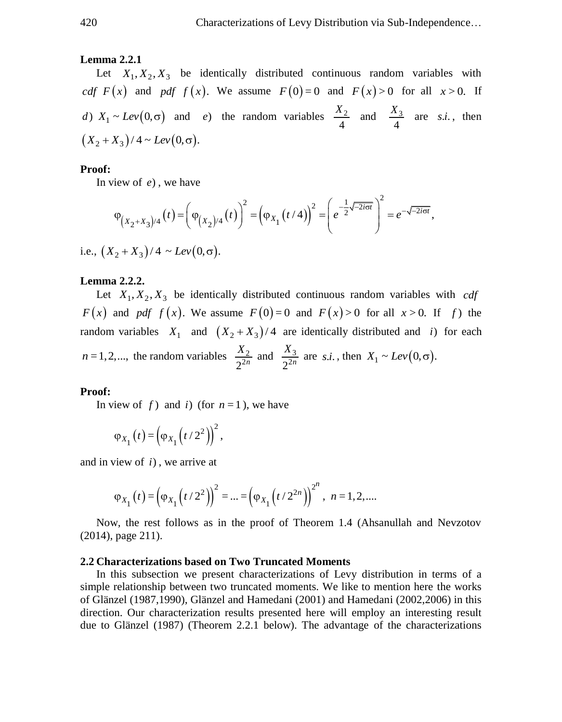#### **Lemma 2.2.1**

Let  $X_1, X_2, X_3$  be identically distributed continuous random variables with *cdf*  $F(x)$  and *pdf*  $f(x)$ . We assume  $F(0)=0$  and  $F(x)>0$  for all  $x>0$ . If *d*)  $X_1 \sim Lev(0, \sigma)$  and *e*) the random variables  $\frac{X_2}{4}$ 4  $\frac{X_2}{\cdot}$  and  $\frac{X_3}{\cdot}$ 4  $\frac{X_3}{\cdot}$  are *s.i.*, then  $(X_2 + X_3)/4 \sim Lev(0, \sigma)$ .

#### **Proof:**

In view of *e*) , we have

In view of *e*), we have  
\n
$$
\varphi_{(X_2+X_3)/4}(t) = \left(\varphi_{(X_2)/4}(t)\right)^2 = \left(\varphi_{X_1}(t/4)\right)^2 = \left(e^{-\frac{1}{2}\sqrt{-2i\sigma t}}\right)^2 = e^{-\sqrt{-2i\sigma t}},
$$
\ni.e.,  $(X_2 + X_3)/4 \sim Lev(0, \sigma)$ .

#### **Lemma 2.2.2.**

Let  $X_1, X_2, X_3$  be identically distributed continuous random variables with *cdf*  $F(x)$  and pdf  $f(x)$ . We assume  $F(0)=0$  and  $F(x)>0$  for all  $x>0$ . If f the random variables  $X_1$  and  $(X_2 + X_3)/4$  are identically distributed and *i*) for each  $n = 1, 2, \dots$ , the random variables  $\frac{\Lambda_2}{2^{2n}}$  $\frac{X_2}{2^{2n}}$  and  $\frac{X_3}{2^{2n}}$  $\frac{X_3}{2^{2n}}$  are *s.i.*, then  $X_1 \sim Lev(0, \sigma)$ .

#### **Proof:**

In view of f  $\int$  and i  $\int$  (for  $n = 1$ ), we have

$$
\varphi_{X_1}(t) = \left(\varphi_{X_1}\left(t/2^2\right)\right)^2,
$$

and in view of *i*) , we arrive at

$$
\varphi_{X_1}(t) = (\varphi_{X_1}(t/2^2))^2 = ... = (\varphi_{X_1}(t/2^{2n}))^{2^n}, n = 1, 2, ...
$$

Now, the rest follows as in the proof of Theorem 1.4 (Ahsanullah and Nevzotov (2014), page 211).

#### **2.2 Characterizations based on Two Truncated Moments**

In this subsection we present characterizations of Levy distribution in terms of a simple relationship between two truncated moments. We like to mention here the works of Glänzel (1987,1990), Glänzel and Hamedani (2001) and Hamedani (2002,2006) in this direction. Our characterization results presented here will employ an interesting result due to Glänzel (1987) (Theorem 2.2.1 below). The advantage of the characterizations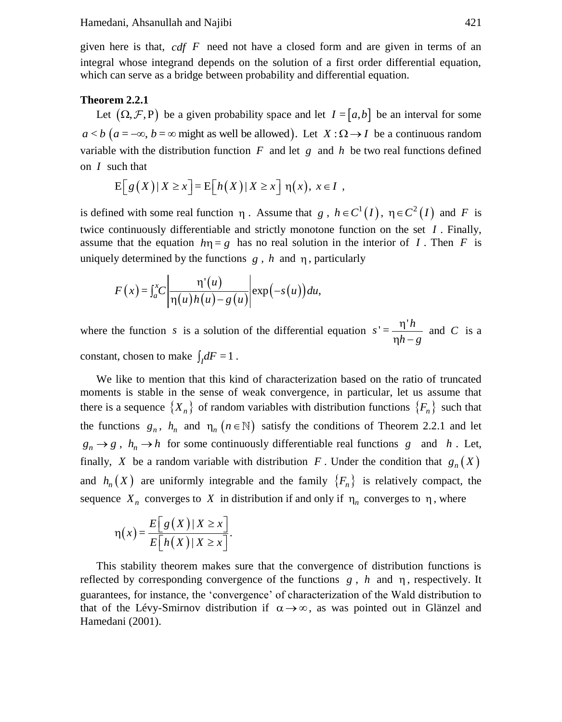given here is that, *cdf F* need not have a closed form and are given in terms of an integral whose integrand depends on the solution of a first order differential equation, which can serve as a bridge between probability and differential equation.

#### **Theorem 2.2.1**

Let  $(\Omega, \mathcal{F}, P)$  be a given probability space and let  $I = [a, b]$  be an interval for some Let  $(s_2, y_1, y_2)$  be a given probability space and let  $I = [a, b]$  be an interval for some  $a < b$   $(a = -\infty, b = \infty$  might as well be allowed). Let  $X : \Omega \rightarrow I$  be a continuous random variable with the distribution function  $F$  and let  $g$  and  $h$  be two real functions defined on *I* such that

$$
E[g(X)|X \ge x] = E[h(X)|X \ge x] \eta(x), x \in I,
$$

is defined with some real function  $\eta$ . Assume that  $g$ ,  $h \in C^1(I)$ ,  $\eta \in C^2(I)$  and F is twice continuously differentiable and strictly monotone function on the set *I* . Finally, assume that the equation  $h\eta = g$  has no real solution in the interior of I. Then F is uniquely determined by the functions  $g$ ,  $h$  and  $\eta$ , particularly

$$
F(x) = \int_a^x C \left| \frac{\eta'(u)}{\eta(u)h(u) - g(u)} \right| \exp(-s(u)) du,
$$

where the function *s* is a solution of the differential equation  $s' = \frac{\eta' h}{\eta h - g}$ η  $\frac{1}{\eta h}$  and *C* is a constant, chosen to make  $\int_I dF = 1$ .

We like to mention that this kind of characterization based on the ratio of truncated moments is stable in the sense of weak convergence, in particular, let us assume that there is a sequence  $\{X_n\}$  of random variables with distribution functions  $\{F_n\}$  such that the functions  $g_n$ ,  $h_n$  and  $n_n$  ( $n \in \mathbb{N}$ ) satisfy the conditions of Theorem 2.2.1 and let  $g_n \to g$ ,  $h_n \to h$  for some continuously differentiable real functions g and h. Let, finally, X be a random variable with distribution F. Under the condition that  $g_n(X)$ and  $h_n(X)$  are uniformly integrable and the family  $\{F_n\}$  is relatively compact, the sequence  $X_n$  converges to X in distribution if and only if  $\eta_n$  converges to  $\eta$ , where

$$
\eta(x) = \frac{E[g(X)|X \ge x]}{E[h(X)|X \ge x]}.
$$

This stability theorem makes sure that the convergence of distribution functions is reflected by corresponding convergence of the functions  $g$ ,  $h$  and  $\eta$ , respectively. It guarantees, for instance, the 'convergence' of characterization of the Wald distribution to that of the Lévy-Smirnov distribution if  $\alpha \rightarrow \infty$ , as was pointed out in Glänzel and Hamedani (2001).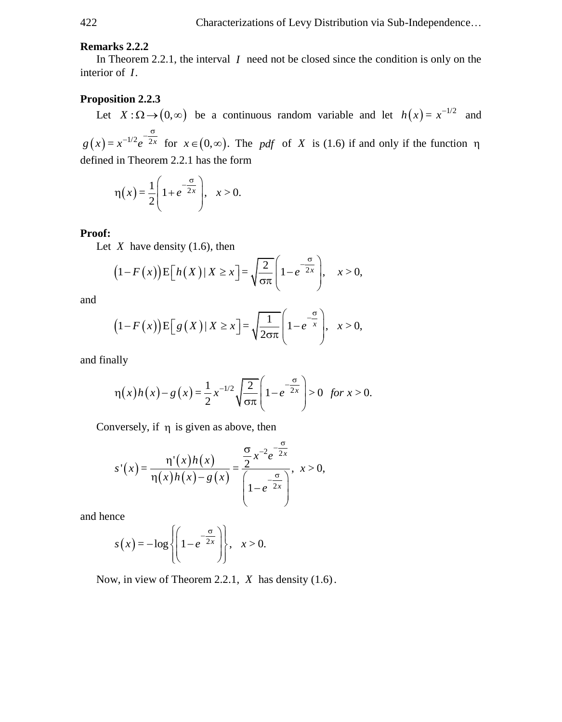### **Remarks 2.2.2**

In Theorem 2.2.1, the interval  $I$  need not be closed since the condition is only on the interior of *I*.

#### **Proposition 2.2.3**

Let  $X : \Omega \to (0, \infty)$  be a continuous random variable and let  $h(x) = x^{-1/2}$  and  $g(x) = x^{-1/2} e^{-2x}$  $f^{-1/2}e^{-\frac{\sigma}{2x}}$  for  $x \in (0, \infty)$ . The *pdf* of *X* is (1.6) if and only if the function  $\eta$ defined in Theorem 2.2.1 has the form

$$
\eta(x) = \frac{1}{2} \left( 1 + e^{-\frac{\sigma}{2x}} \right), \quad x > 0.
$$

#### **Proof:**

Let  $X$  have density  $(1.6)$ , then

X have density (1.6), then  
\n
$$
(1 - F(x)) \mathbb{E}\left[h(X) | X \ge x\right] = \sqrt{\frac{2}{\sigma \pi}} \left(1 - e^{-\frac{\sigma}{2x}}\right), \quad x > 0,
$$

and

$$
(1 - F(x)) \mathbb{E}\left[g\left(X\right)| X \geq x\right] = \sqrt{\frac{1}{2\sigma\pi}} \left(1 - e^{-\frac{\sigma}{x}}\right), \quad x > 0,
$$

and finally

ally  
\n
$$
\eta(x)h(x) - g(x) = \frac{1}{2}x^{-1/2}\sqrt{\frac{2}{\sigma\pi}}\left(1 - e^{-\frac{\sigma}{2x}}\right) > 0 \text{ for } x > 0.
$$

Conversely, if  $\eta$  is given as above, then

$$
s'(x) = \frac{\eta'(x)h(x)}{\eta(x)h(x) - g(x)} = \frac{\frac{\sigma}{2}x^{-2}e^{-\frac{\sigma}{2x}}}{\left(1 - e^{-\frac{\sigma}{2x}}\right)}, \quad x > 0,
$$

and hence

$$
s(x) = -\log\left\{\left(1 - e^{-\frac{\sigma}{2x}}\right)\right\}, \quad x > 0.
$$

Now, in view of Theorem 2.2.1, *X* has density (1.6).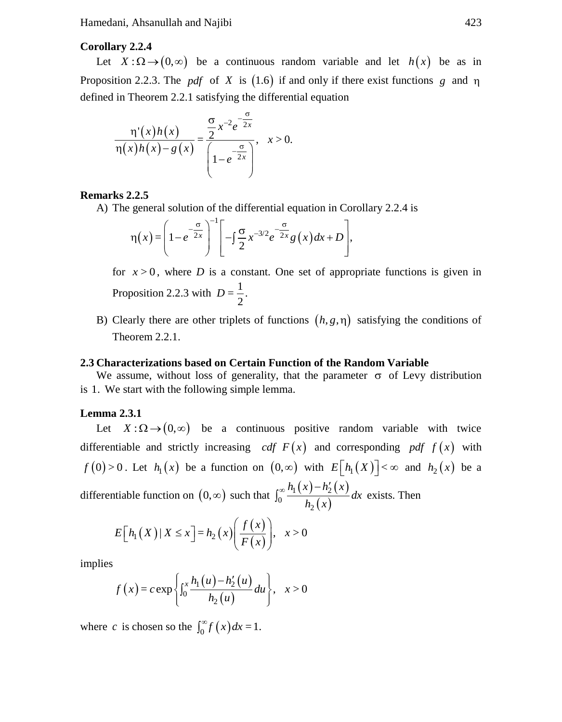Hamedani, Ahsanullah and Najibi 423

## **Corollary 2.2.4**

Let  $X : \Omega \to (0, \infty)$  be a continuous random variable and let  $h(x)$  be as in Proposition 2.2.3. The *pdf* of X is  $(1.6)$  if and only if there exist functions g and  $\eta$ defined in Theorem 2.2.1 satisfying the differential equation

$$
\frac{\eta'(x)h(x)}{\eta(x)h(x)-g(x)} = \frac{\frac{\sigma}{2}x^{-2}e^{-\frac{\sigma}{2x}}}{\left(1-e^{-\frac{\sigma}{2x}}\right)}, \quad x>0.
$$

#### **Remarks 2.2.5**

A) The general solution of the differential equation in Corollary 2.2.4 is  
\n
$$
\eta(x) = \left(1 - e^{-\frac{\sigma}{2x}}\right)^{-1} \left[-\int_{0}^{\infty} \frac{x^{-3/2} e^{-\frac{\sigma}{2x}} g(x) dx + D\right],
$$

for  $x > 0$ , where *D* is a constant. One set of appropriate functions is given in Proposition 2.2.3 with  $D = \frac{1}{2}$ .

B) Clearly there are other triplets of functions  $(h, g, \eta)$  satisfying the conditions of Theorem 2.2.1.

#### **2.3 Characterizations based on Certain Function of the Random Variable**

We assume, without loss of generality, that the parameter  $\sigma$  of Levy distribution is 1. We start with the following simple lemma.

#### **Lemma 2.3.1**

Let  $X : \Omega \to (0, \infty)$  be a continuous positive random variable with twice differentiable and strictly increasing *cdf*  $F(x)$  and corresponding *pdf*  $f(x)$  with  $f(0) > 0$ . Let  $h_1(x)$  be a function on  $(0, \infty)$  with  $E[h_1(X)] < \infty$  and  $h_2(x)$  be a differentiable function on  $(0, \infty)$  such that  $\int_0^{\infty} \frac{h_1(x) - h'_2(x)}{h'_1(x)} dx$  $(x)$  $a_1(x) - a_2$ <sup>0</sup>  $h_2$  $\frac{h_1(x)-h'_2(x)}{h_2(x)}dx$  $\int_0^\infty \frac{h_1(x) - h'_2(x)}{h_1(x)} dx$  exists. Then

$$
E\Big[h_1(X) \,|\, X \le x\Big] = h_2\big(x\big)\Bigg(\frac{f\big(x\big)}{F\big(x\big)}\Bigg), \quad x > 0
$$

implies

$$
f(x) = c \exp \left\{ \int_0^x \frac{h_1(u) - h_2'(u)}{h_2(u)} du \right\}, \quad x > 0
$$

where *c* is chosen so the  $\int_0^\infty f(x) dx = 1$ .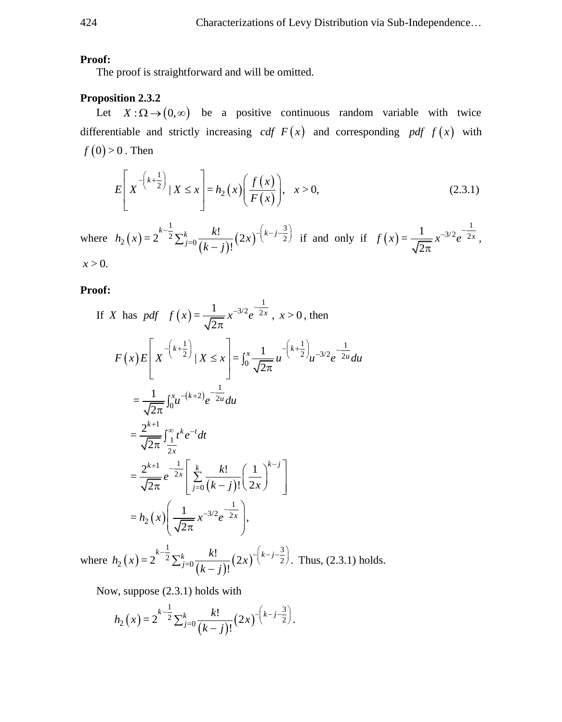#### **Proof:**

The proof is straightforward and will be omitted.

# **Proposition 2.3.2**

Let  $X : \Omega \to (0, \infty)$  be a positive continuous random variable with twice differentiable and strictly increasing *cdf*  $F(x)$  and corresponding *pdf*  $f(x)$  with  $f(0)$  > 0 . Then

$$
E\left[X^{-\left(k+\frac{1}{2}\right)}\,|\,X\leq x\right]=h_2\left(x\right)\left(\frac{f\left(x\right)}{F\left(x\right)}\right),\quad x>0,\tag{2.3.1}
$$

where  $h_2(x) = 2^{-2} \sum_{j=0}^{k} \frac{k!}{(k-j)!} (2x)^{j}$  $\frac{1}{2}$   $\frac{1}{2}$   $\left(\frac{1}{2} + 3\right)$  $\sum_{i=2}^{k} (x) = 2^{-2} \sum_{j=0}^{k} \frac{k!}{(k-j)!} (2x)^{-(k-j)^2}$  $=2^{k-\frac{1}{2}}\sum_{j=0}^{k} \frac{k!}{(k-j)!} (2$  $\sum_{j=0}^{k-1} \frac{k!}{(k-i)!} (2x)^{-(k-j)}$  $h_2(x) = 2^{k - \frac{1}{2}} \sum_{j=0}^k \frac{k!}{(k-j)!} (2x)$  $\int_{-2}^{-1} \sum_{j=0}^{k} \frac{k!}{(k-j)!} (2x)^{-\left(k-j-\frac{3}{2}\right)}$  if and only if  $f(x)$ 1  $=\frac{1}{\sqrt{2}}x^{-3/2}e^{-\frac{1}{2}}$ 2  $f(x) = \frac{1}{\sqrt{x}} x^{-3/2} e^{-\frac{1}{2x}}$  $\pi$ ,  $x > 0$ .

#### **Proof:**

If X has pdf 
$$
f(x) = \frac{1}{\sqrt{2\pi}} x^{-3/2} e^{-\frac{1}{2x}}
$$
,  $x > 0$ , then  
\n
$$
F(x) E\left[ X^{-\left(k + \frac{1}{2}\right)} | X \leq x \right] = \int_0^x \frac{1}{\sqrt{2\pi}} u^{-\left(k + \frac{1}{2}\right)} u^{-3/2} e^{-\frac{1}{2u}} du
$$
\n
$$
= \frac{1}{\sqrt{2\pi}} \int_0^x u^{-(k+2)} e^{-\frac{1}{2u}} du
$$
\n
$$
= \frac{2^{k+1}}{\sqrt{2\pi}} \int_{\frac{x}{2x}}^{\frac{x}{2x}} t^{k} e^{-t} dt
$$
\n
$$
= \frac{2^{k+1}}{\sqrt{2\pi}} e^{-\frac{1}{2x}} \left[ \sum_{j=0}^k \frac{k!}{(k-j)!} \left( \frac{1}{2x} \right)^{k-j} \right]
$$
\n
$$
= h_2(x) \left( \frac{1}{\sqrt{2\pi}} x^{-3/2} e^{-\frac{1}{2x}} \right),
$$

where  $h_2(x) = 2^{-2} \sum_{j=0}^{k} \frac{k!}{(k-j)!} (2x)^{j}$  $\frac{1}{2}$   $\frac{1}{2}$   $\left(\frac{1}{2} + 3\right)$  $\sum_{i=2}^{k} (x) = 2^{-2} \sum_{j=0}^{k} \frac{k!}{(k-j)!} (2x)^{-(k-j)^2}$  $=2^{k-\frac{1}{2}}\sum_{j=0}^{k} \frac{k!}{(k-j)!}(2x)^{-\left(k-j-\frac{3}{2}\right)}.$  $\sum_{j=0}^{k-1} \frac{k!}{(k-i)!} (2x)^{-(k-j)}$  $h_2(x) = 2^{k - \frac{1}{2}} \sum_{j=0}^k \frac{k!}{(k-j)!} (2x)$  $-\frac{1}{2}\sum_{j=0}^{k} \frac{k!}{(k-j)!} (2x)^{-\left(k-j-\frac{3}{2}\right)}$ . Thus, (2.3.1) holds.

Now, suppose (2.3.1) holds with

$$
h_2(x) = 2^{k-\frac{1}{2}} \sum_{j=0}^k \frac{k!}{(k-j)!} (2x)^{-\left(k-j-\frac{3}{2}\right)}.
$$